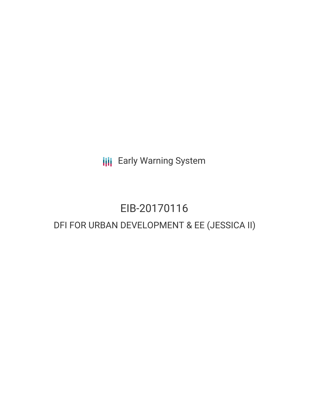**III** Early Warning System

# EIB-20170116 DFI FOR URBAN DEVELOPMENT & EE (JESSICA II)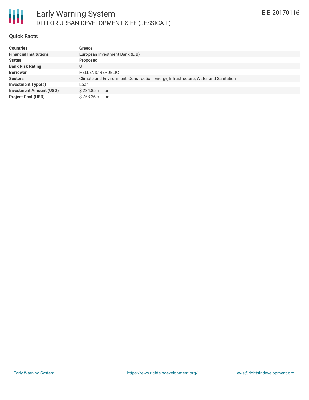

### **Quick Facts**

| <b>Countries</b>               | Greece                                                                              |
|--------------------------------|-------------------------------------------------------------------------------------|
| <b>Financial Institutions</b>  | European Investment Bank (EIB)                                                      |
| <b>Status</b>                  | Proposed                                                                            |
| <b>Bank Risk Rating</b>        | U                                                                                   |
| <b>Borrower</b>                | <b>HELLENIC REPUBLIC</b>                                                            |
| <b>Sectors</b>                 | Climate and Environment, Construction, Energy, Infrastructure, Water and Sanitation |
| <b>Investment Type(s)</b>      | Loan                                                                                |
| <b>Investment Amount (USD)</b> | $$234.85$ million                                                                   |
| <b>Project Cost (USD)</b>      | \$763.26 million                                                                    |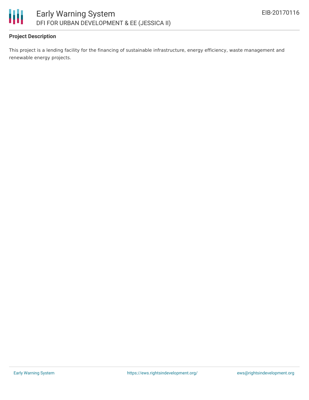

## **Project Description**

This project is a lending facility for the financing of sustainable infrastructure, energy efficiency, waste management and renewable energy projects.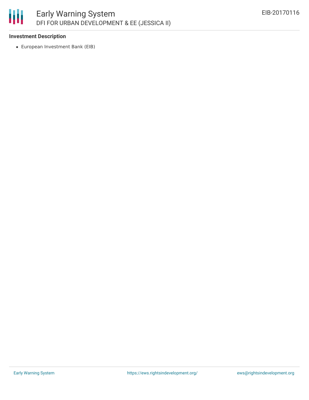

# **Investment Description**

European Investment Bank (EIB)